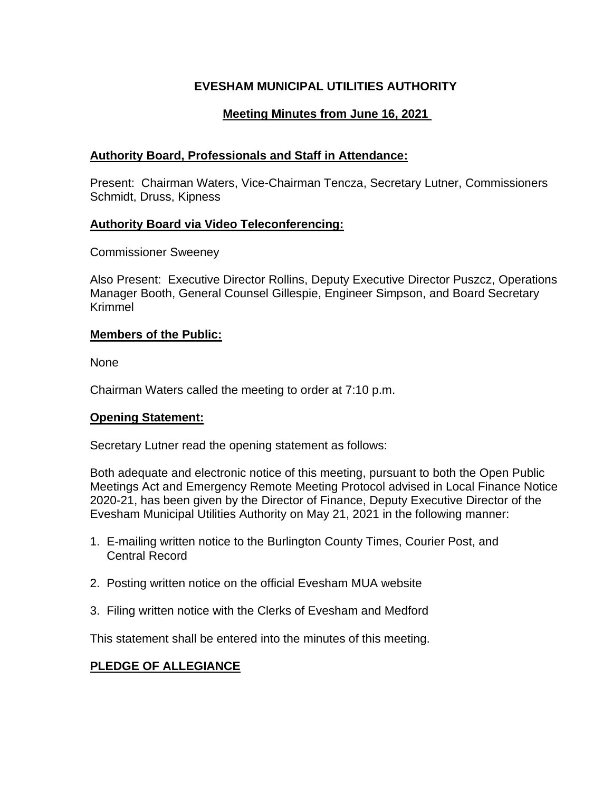## **EVESHAM MUNICIPAL UTILITIES AUTHORITY**

# **Meeting Minutes from June 16, 2021**

## **Authority Board, Professionals and Staff in Attendance:**

Present: Chairman Waters, Vice-Chairman Tencza, Secretary Lutner, Commissioners Schmidt, Druss, Kipness

## **Authority Board via Video Teleconferencing:**

Commissioner Sweeney

Also Present: Executive Director Rollins, Deputy Executive Director Puszcz, Operations Manager Booth, General Counsel Gillespie, Engineer Simpson, and Board Secretary Krimmel

## **Members of the Public:**

None

Chairman Waters called the meeting to order at 7:10 p.m.

### **Opening Statement:**

Secretary Lutner read the opening statement as follows:

Both adequate and electronic notice of this meeting, pursuant to both the Open Public Meetings Act and Emergency Remote Meeting Protocol advised in Local Finance Notice 2020-21, has been given by the Director of Finance, Deputy Executive Director of the Evesham Municipal Utilities Authority on May 21, 2021 in the following manner:

- 1. E-mailing written notice to the Burlington County Times, Courier Post, and Central Record
- 2. Posting written notice on the official Evesham MUA website
- 3. Filing written notice with the Clerks of Evesham and Medford

This statement shall be entered into the minutes of this meeting.

# **PLEDGE OF ALLEGIANCE**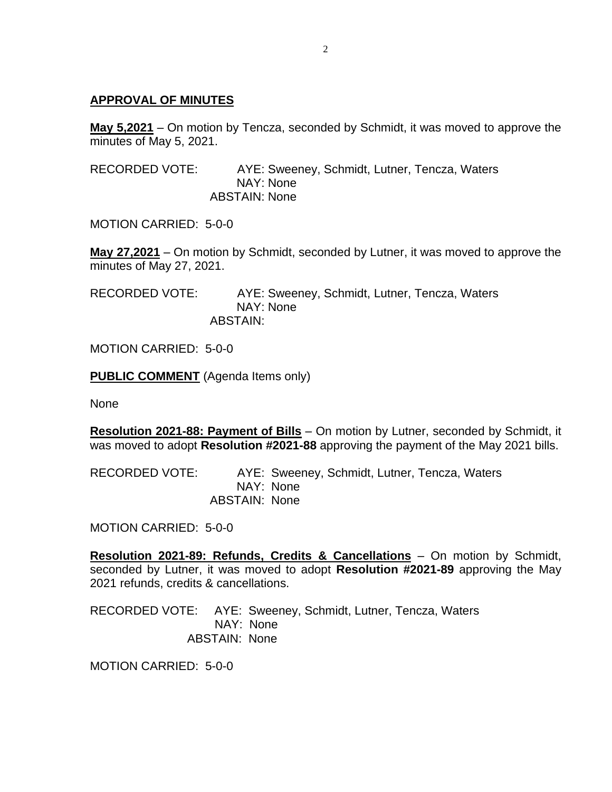#### **APPROVAL OF MINUTES**

**May 5,2021** – On motion by Tencza, seconded by Schmidt, it was moved to approve the minutes of May 5, 2021.

RECORDED VOTE: AYE: Sweeney, Schmidt, Lutner, Tencza, Waters NAY: None ABSTAIN: None

MOTION CARRIED: 5-0-0

**May 27,2021** – On motion by Schmidt, seconded by Lutner, it was moved to approve the minutes of May 27, 2021.

RECORDED VOTE: AYE: Sweeney, Schmidt, Lutner, Tencza, Waters NAY: None ABSTAIN:

MOTION CARRIED: 5-0-0

**PUBLIC COMMENT** (Agenda Items only)

None

**Resolution 2021-88: Payment of Bills** – On motion by Lutner, seconded by Schmidt, it was moved to adopt **Resolution #2021-88** approving the payment of the May 2021 bills.

RECORDED VOTE: AYE: Sweeney, Schmidt, Lutner, Tencza, Waters NAY: None ABSTAIN: None

MOTION CARRIED: 5-0-0

**Resolution 2021-89: Refunds, Credits & Cancellations** – On motion by Schmidt, seconded by Lutner, it was moved to adopt **Resolution #2021-89** approving the May 2021 refunds, credits & cancellations.

RECORDED VOTE: AYE: Sweeney, Schmidt, Lutner, Tencza, Waters NAY: None ABSTAIN: None

MOTION CARRIED: 5-0-0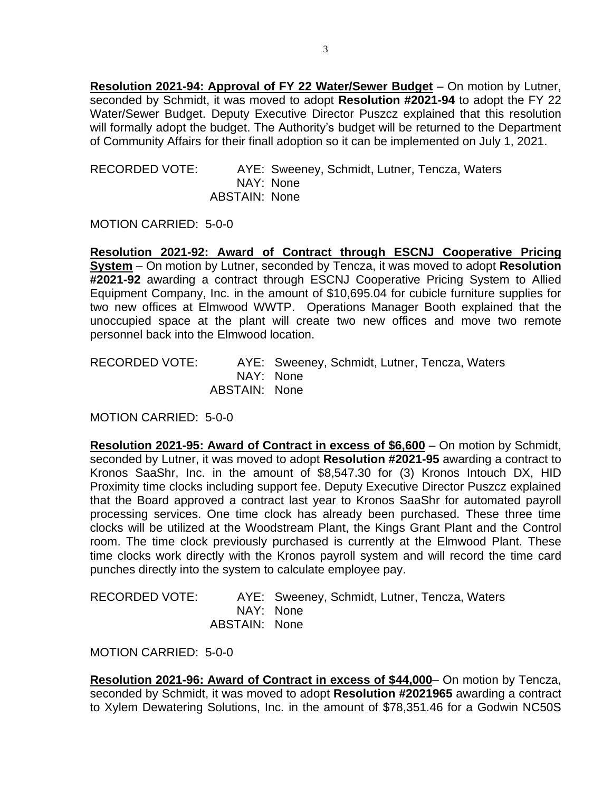**Resolution 2021-94: Approval of FY 22 Water/Sewer Budget** – On motion by Lutner, seconded by Schmidt, it was moved to adopt **Resolution #2021-94** to adopt the FY 22 Water/Sewer Budget. Deputy Executive Director Puszcz explained that this resolution will formally adopt the budget. The Authority's budget will be returned to the Department of Community Affairs for their finall adoption so it can be implemented on July 1, 2021.

RECORDED VOTE: AYE: Sweeney, Schmidt, Lutner, Tencza, Waters NAY: None ABSTAIN: None

MOTION CARRIED: 5-0-0

**Resolution 2021-92: Award of Contract through ESCNJ Cooperative Pricing System** – On motion by Lutner, seconded by Tencza, it was moved to adopt **Resolution #2021-92** awarding a contract through ESCNJ Cooperative Pricing System to Allied Equipment Company, Inc. in the amount of \$10,695.04 for cubicle furniture supplies for two new offices at Elmwood WWTP. Operations Manager Booth explained that the unoccupied space at the plant will create two new offices and move two remote personnel back into the Elmwood location.

RECORDED VOTE: AYE: Sweeney, Schmidt, Lutner, Tencza, Waters NAY: None ABSTAIN: None

MOTION CARRIED: 5-0-0

**Resolution 2021-95: Award of Contract in excess of \$6,600** – On motion by Schmidt, seconded by Lutner, it was moved to adopt **Resolution #2021-95** awarding a contract to Kronos SaaShr, Inc. in the amount of \$8,547.30 for (3) Kronos Intouch DX, HID Proximity time clocks including support fee. Deputy Executive Director Puszcz explained that the Board approved a contract last year to Kronos SaaShr for automated payroll processing services. One time clock has already been purchased. These three time clocks will be utilized at the Woodstream Plant, the Kings Grant Plant and the Control room. The time clock previously purchased is currently at the Elmwood Plant. These time clocks work directly with the Kronos payroll system and will record the time card punches directly into the system to calculate employee pay.

| <b>RECORDED VOTE:</b> |               | AYE: Sweeney, Schmidt, Lutner, Tencza, Waters |
|-----------------------|---------------|-----------------------------------------------|
|                       |               | NAY: None                                     |
|                       | ABSTAIN: None |                                               |

MOTION CARRIED: 5-0-0

**Resolution 2021-96: Award of Contract in excess of \$44,000**– On motion by Tencza, seconded by Schmidt, it was moved to adopt **Resolution #2021965** awarding a contract to Xylem Dewatering Solutions, Inc. in the amount of \$78,351.46 for a Godwin NC50S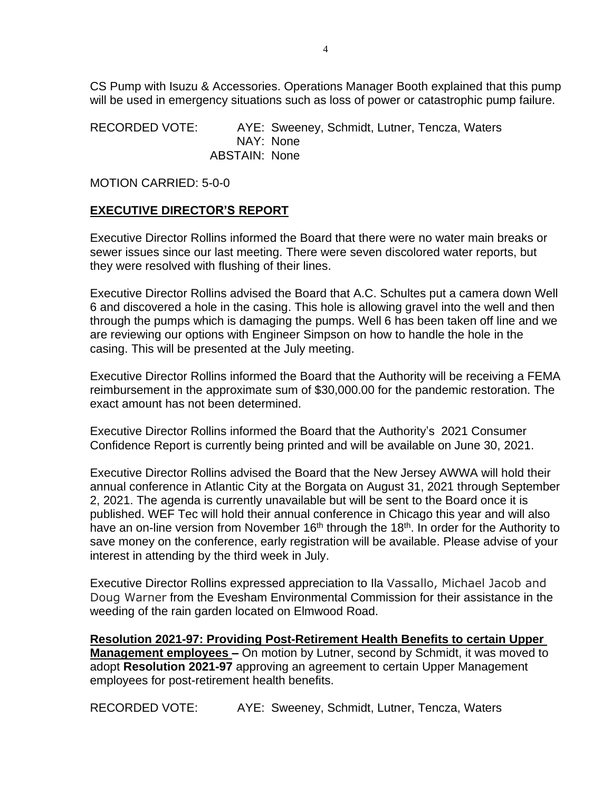CS Pump with Isuzu & Accessories. Operations Manager Booth explained that this pump will be used in emergency situations such as loss of power or catastrophic pump failure.

RECORDED VOTE: AYE: Sweeney, Schmidt, Lutner, Tencza, Waters NAY: None ABSTAIN: None

MOTION CARRIED: 5-0-0

### **EXECUTIVE DIRECTOR'S REPORT**

Executive Director Rollins informed the Board that there were no water main breaks or sewer issues since our last meeting. There were seven discolored water reports, but they were resolved with flushing of their lines.

Executive Director Rollins advised the Board that A.C. Schultes put a camera down Well 6 and discovered a hole in the casing. This hole is allowing gravel into the well and then through the pumps which is damaging the pumps. Well 6 has been taken off line and we are reviewing our options with Engineer Simpson on how to handle the hole in the casing. This will be presented at the July meeting.

Executive Director Rollins informed the Board that the Authority will be receiving a FEMA reimbursement in the approximate sum of \$30,000.00 for the pandemic restoration. The exact amount has not been determined.

Executive Director Rollins informed the Board that the Authority's 2021 Consumer Confidence Report is currently being printed and will be available on June 30, 2021.

Executive Director Rollins advised the Board that the New Jersey AWWA will hold their annual conference in Atlantic City at the Borgata on August 31, 2021 through September 2, 2021. The agenda is currently unavailable but will be sent to the Board once it is published. WEF Tec will hold their annual conference in Chicago this year and will also have an on-line version from November 16<sup>th</sup> through the 18<sup>th</sup>. In order for the Authority to save money on the conference, early registration will be available. Please advise of your interest in attending by the third week in July.

Executive Director Rollins expressed appreciation to Ila Vassallo, Michael Jacob and Doug Warner from the Evesham Environmental Commission for their assistance in the weeding of the rain garden located on Elmwood Road.

**Resolution 2021-97: Providing Post-Retirement Health Benefits to certain Upper Management employees –** On motion by Lutner, second by Schmidt, it was moved to adopt **Resolution 2021-97** approving an agreement to certain Upper Management employees for post-retirement health benefits.

RECORDED VOTE: AYE: Sweeney, Schmidt, Lutner, Tencza, Waters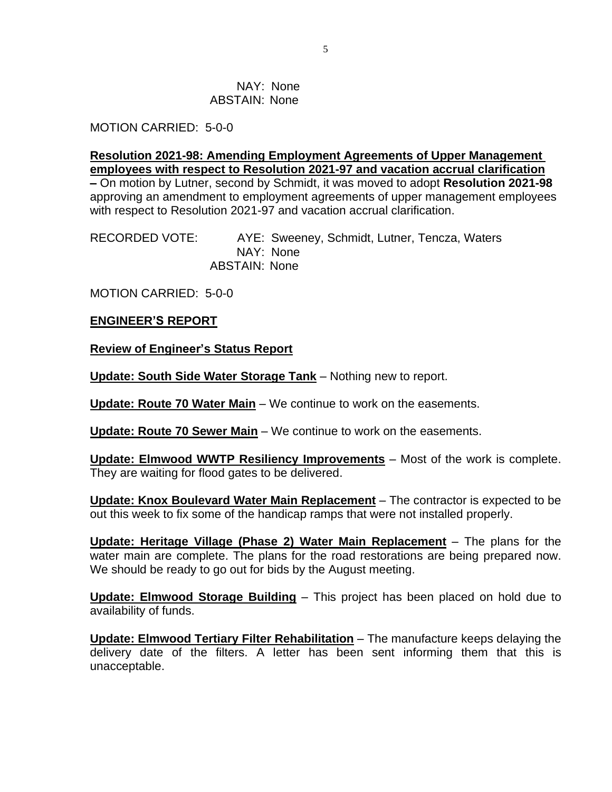#### NAY: None ABSTAIN: None

MOTION CARRIED: 5-0-0

**Resolution 2021-98: Amending Employment Agreements of Upper Management employees with respect to Resolution 2021-97 and vacation accrual clarification**

**–** On motion by Lutner, second by Schmidt, it was moved to adopt **Resolution 2021-98** approving an amendment to employment agreements of upper management employees with respect to Resolution 2021-97 and vacation accrual clarification.

RECORDED VOTE: AYE: Sweeney, Schmidt, Lutner, Tencza, Waters NAY: None ABSTAIN: None

MOTION CARRIED: 5-0-0

### **ENGINEER'S REPORT**

**Review of Engineer's Status Report**

**Update: South Side Water Storage Tank** – Nothing new to report.

**Update: Route 70 Water Main** – We continue to work on the easements.

**Update: Route 70 Sewer Main** – We continue to work on the easements.

**Update: Elmwood WWTP Resiliency Improvements** – Most of the work is complete. They are waiting for flood gates to be delivered.

**Update: Knox Boulevard Water Main Replacement** – The contractor is expected to be out this week to fix some of the handicap ramps that were not installed properly.

**Update: Heritage Village (Phase 2) Water Main Replacement** – The plans for the water main are complete. The plans for the road restorations are being prepared now. We should be ready to go out for bids by the August meeting.

**Update: Elmwood Storage Building** – This project has been placed on hold due to availability of funds.

**Update: Elmwood Tertiary Filter Rehabilitation** – The manufacture keeps delaying the delivery date of the filters. A letter has been sent informing them that this is unacceptable.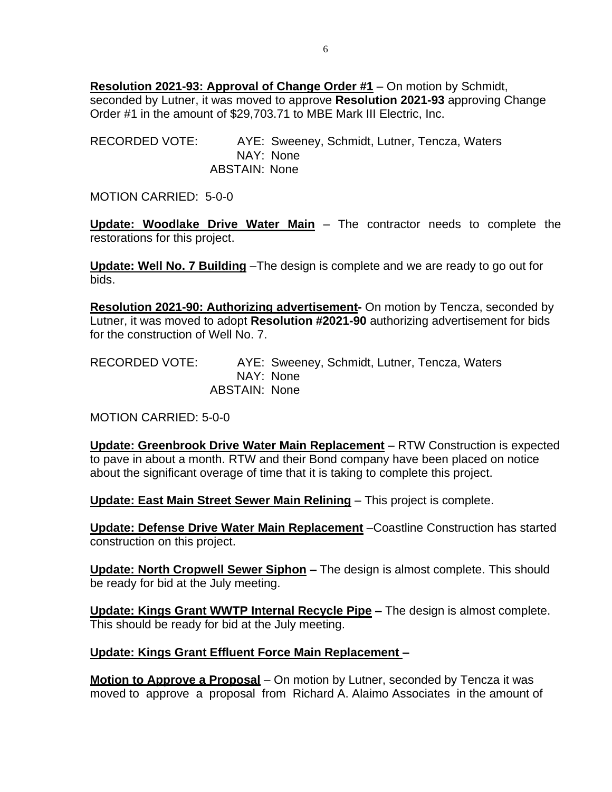**Resolution 2021-93: Approval of Change Order #1** – On motion by Schmidt, seconded by Lutner, it was moved to approve **Resolution 2021-93** approving Change Order #1 in the amount of \$29,703.71 to MBE Mark III Electric, Inc.

RECORDED VOTE: AYE: Sweeney, Schmidt, Lutner, Tencza, Waters NAY: None ABSTAIN: None

MOTION CARRIED: 5-0-0

**Update: Woodlake Drive Water Main** – The contractor needs to complete the restorations for this project.

**Update: Well No. 7 Building** –The design is complete and we are ready to go out for bids.

**Resolution 2021-90: Authorizing advertisement-** On motion by Tencza, seconded by Lutner, it was moved to adopt **Resolution #2021-90** authorizing advertisement for bids for the construction of Well No. 7.

RECORDED VOTE: AYE: Sweeney, Schmidt, Lutner, Tencza, Waters NAY: None ABSTAIN: None

MOTION CARRIED: 5-0-0

**Update: Greenbrook Drive Water Main Replacement** – RTW Construction is expected to pave in about a month. RTW and their Bond company have been placed on notice about the significant overage of time that it is taking to complete this project.

**Update: East Main Street Sewer Main Relining** – This project is complete.

**Update: Defense Drive Water Main Replacement** –Coastline Construction has started construction on this project.

**Update: North Cropwell Sewer Siphon –** The design is almost complete. This should be ready for bid at the July meeting.

**Update: Kings Grant WWTP Internal Recycle Pipe –** The design is almost complete. This should be ready for bid at the July meeting.

### **Update: Kings Grant Effluent Force Main Replacement –**

**Motion to Approve a Proposal** – On motion by Lutner, seconded by Tencza it was moved to approve a proposal from Richard A. Alaimo Associates in the amount of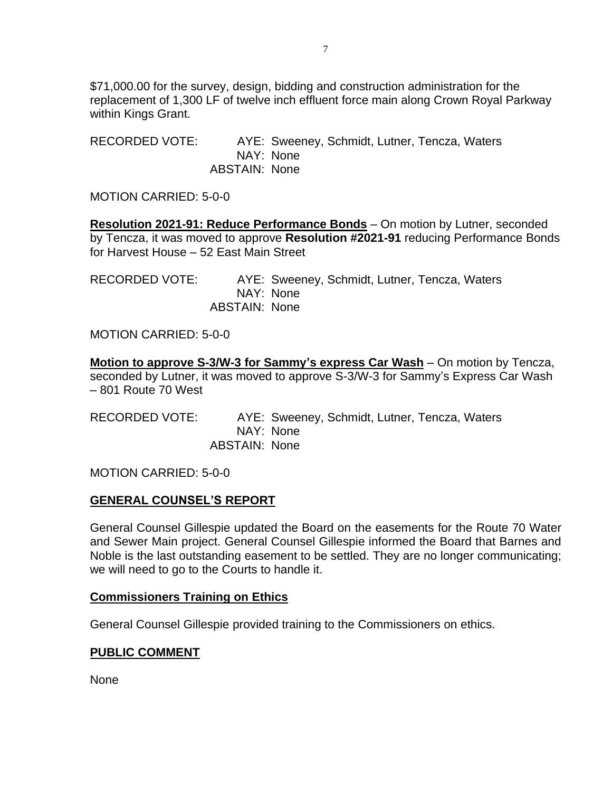\$71,000.00 for the survey, design, bidding and construction administration for the replacement of 1,300 LF of twelve inch effluent force main along Crown Royal Parkway within Kings Grant.

RECORDED VOTE: AYE: Sweeney, Schmidt, Lutner, Tencza, Waters NAY: None ABSTAIN: None

MOTION CARRIED: 5-0-0

**Resolution 2021-91: Reduce Performance Bonds** – On motion by Lutner, seconded by Tencza, it was moved to approve **Resolution #2021-91** reducing Performance Bonds for Harvest House – 52 East Main Street

RECORDED VOTE: AYE: Sweeney, Schmidt, Lutner, Tencza, Waters NAY: None ABSTAIN: None

MOTION CARRIED: 5-0-0

**Motion to approve S-3/W-3 for Sammy's express Car Wash** – On motion by Tencza, seconded by Lutner, it was moved to approve S-3/W-3 for Sammy's Express Car Wash – 801 Route 70 West

RECORDED VOTE: AYE: Sweeney, Schmidt, Lutner, Tencza, Waters NAY: None ABSTAIN: None

MOTION CARRIED: 5-0-0

#### **GENERAL COUNSEL'S REPORT**

General Counsel Gillespie updated the Board on the easements for the Route 70 Water and Sewer Main project. General Counsel Gillespie informed the Board that Barnes and Noble is the last outstanding easement to be settled. They are no longer communicating; we will need to go to the Courts to handle it.

#### **Commissioners Training on Ethics**

General Counsel Gillespie provided training to the Commissioners on ethics.

### **PUBLIC COMMENT**

None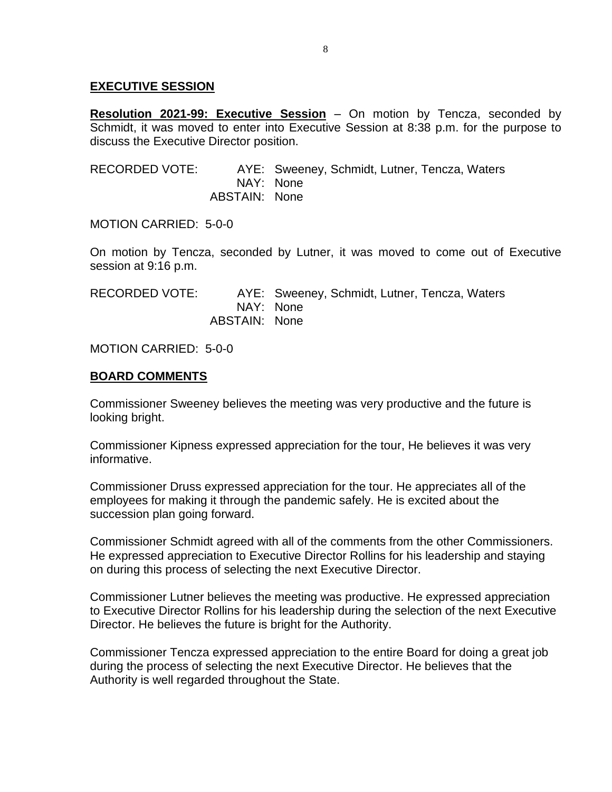### **EXECUTIVE SESSION**

**Resolution 2021-99: Executive Session** – On motion by Tencza, seconded by Schmidt, it was moved to enter into Executive Session at 8:38 p.m. for the purpose to discuss the Executive Director position.

RECORDED VOTE: AYE: Sweeney, Schmidt, Lutner, Tencza, Waters NAY: None ABSTAIN: None

MOTION CARRIED: 5-0-0

On motion by Tencza, seconded by Lutner, it was moved to come out of Executive session at 9:16 p.m.

RECORDED VOTE: AYE: Sweeney, Schmidt, Lutner, Tencza, Waters NAY: None ABSTAIN: None

### MOTION CARRIED: 5-0-0

### **BOARD COMMENTS**

Commissioner Sweeney believes the meeting was very productive and the future is looking bright.

Commissioner Kipness expressed appreciation for the tour, He believes it was very informative.

Commissioner Druss expressed appreciation for the tour. He appreciates all of the employees for making it through the pandemic safely. He is excited about the succession plan going forward.

Commissioner Schmidt agreed with all of the comments from the other Commissioners. He expressed appreciation to Executive Director Rollins for his leadership and staying on during this process of selecting the next Executive Director.

Commissioner Lutner believes the meeting was productive. He expressed appreciation to Executive Director Rollins for his leadership during the selection of the next Executive Director. He believes the future is bright for the Authority.

Commissioner Tencza expressed appreciation to the entire Board for doing a great job during the process of selecting the next Executive Director. He believes that the Authority is well regarded throughout the State.